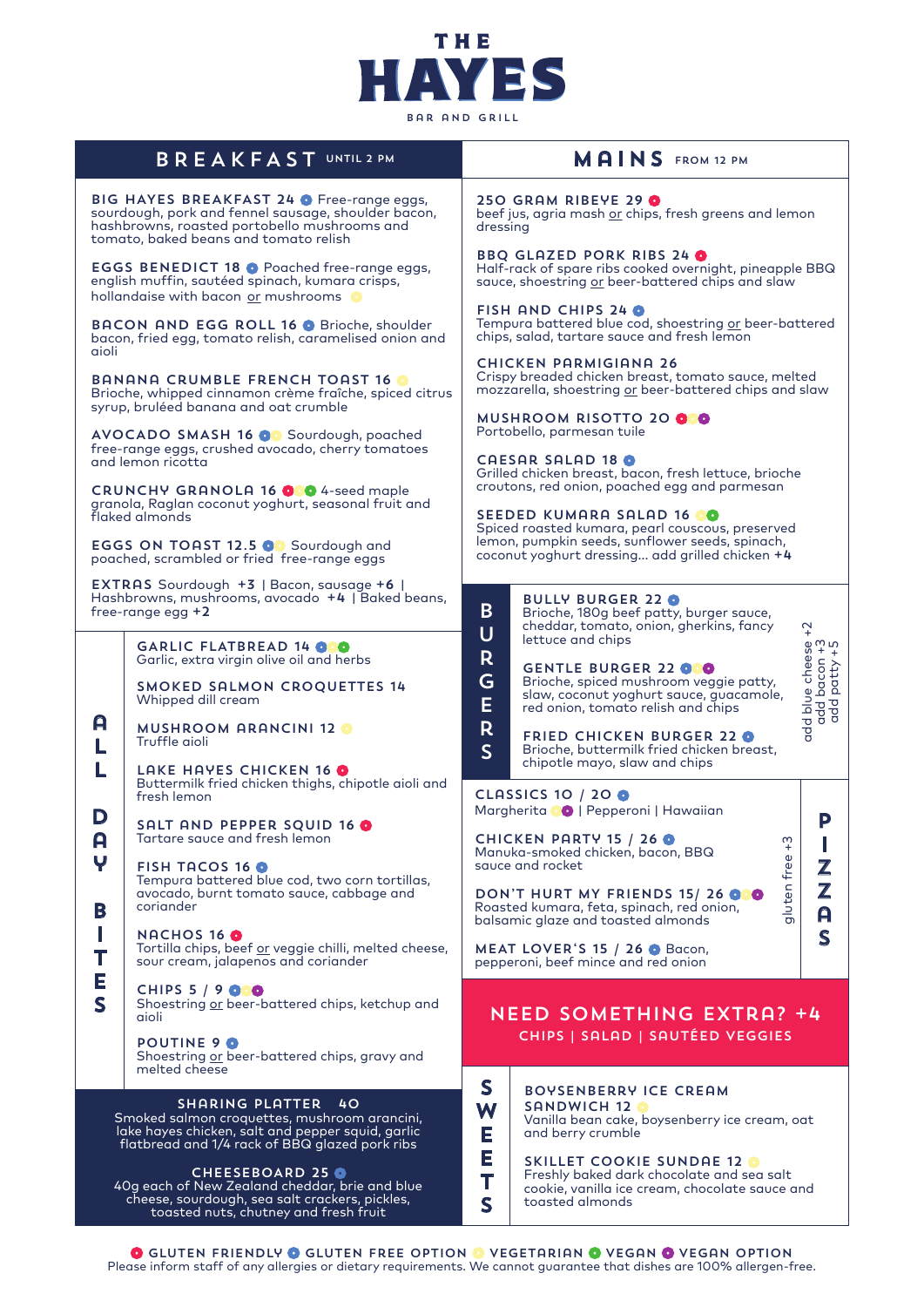

| <b>BAR AND GRILL</b>                                                                                                                                                                      |                                                                                                                                   |                                                                                                                                                  |                                                                                                                                                                               |  |  |
|-------------------------------------------------------------------------------------------------------------------------------------------------------------------------------------------|-----------------------------------------------------------------------------------------------------------------------------------|--------------------------------------------------------------------------------------------------------------------------------------------------|-------------------------------------------------------------------------------------------------------------------------------------------------------------------------------|--|--|
| <b>BREAKFAST UNTIL 2 PM</b>                                                                                                                                                               |                                                                                                                                   | MAINS FROM 12 PM                                                                                                                                 |                                                                                                                                                                               |  |  |
| BIG HAYES BREAKFAST 24 O Free-range eggs,<br>sourdough, pork and fennel sausage, shoulder bacon,<br>hashbrowns, roasted portobello mushrooms and<br>tomato, baked beans and tomato relish |                                                                                                                                   | 250 GRAM RIBEYE 29 0<br>beef jus, agria mash or chips, fresh greens and lemon<br>dressing                                                        |                                                                                                                                                                               |  |  |
| <b>EGGS BENEDICT 18 O Poached free-range eggs,</b><br>english muffin, sautéed spinach, kumara crisps,<br>hollandaise with bacon or mushrooms o                                            |                                                                                                                                   | <b>BBQ GLAZED PORK RIBS 24 0</b><br>Half-rack of spare ribs cooked overnight, pineapple BBQ<br>sauce, shoestring or beer-battered chips and slaw |                                                                                                                                                                               |  |  |
| <b>BACON AND EGG ROLL 16 O Brioche, shoulder</b><br>bacon, fried egg, tomato relish, caramelised onion and<br>aioli                                                                       |                                                                                                                                   | FISH AND CHIPS 24<br>Tempura battered blue cod, shoestring or beer-battered<br>chips, salad, tartare sauce and fresh lemon                       |                                                                                                                                                                               |  |  |
| <b>BANANA CRUMBLE FRENCH TOAST 16 6</b><br>Brioche, whipped cinnamon crème fraîche, spiced citrus<br>syrup, bruléed banana and oat crumble                                                |                                                                                                                                   | <b>CHICKEN PARMIGIANA 26</b><br>Crispy breaded chicken breast, tomato sauce, melted<br>mozzarella, shoestring or beer-battered chips and slaw    |                                                                                                                                                                               |  |  |
| AVOCADO SMASH 16 O Sourdough, poached<br>free-range eggs, crushed avocado, cherry tomatoes                                                                                                |                                                                                                                                   | MUSHROOM RISOTTO 20 00<br>Portobello, parmesan tuile                                                                                             |                                                                                                                                                                               |  |  |
| and lemon ricotta<br><b>CRUNCHY GRANOLA 16 000</b> 4-seed maple                                                                                                                           |                                                                                                                                   | CAESAR SALAD 18<br>Grilled chicken breast, bacon, fresh lettuce, brioche<br>croutons, red onion, poached egg and parmesan                        |                                                                                                                                                                               |  |  |
| granola, Raglan coconut yoghurt, seasonal fruit and<br>flaked almonds<br>EGGS ON TOAST 12.5 OG Sourdough and                                                                              |                                                                                                                                   | SEEDED KUMARA SALAD 16 0<br>Spiced roasted kumara, pearl couscous, preserved<br>lemon, pumpkin seeds, sunflower seeds, spinach,                  |                                                                                                                                                                               |  |  |
| poached, scrambled or fried free-range eggs<br>EXTRAS Sourdough +3   Bacon, sausage +6                                                                                                    |                                                                                                                                   | coconut yoghurt dressing add grilled chicken +4                                                                                                  |                                                                                                                                                                               |  |  |
| Hashbrowns, mushrooms, avocado +4   Baked beans,<br>free-range egg +2                                                                                                                     |                                                                                                                                   | B.<br>$\overline{U}$                                                                                                                             | <b>BULLY BURGER 22 O</b><br>Brioche, 180g beef patty, burger sauce,<br>cheddar, tomato, onion, gherkins, fancy<br>$\overline{a}$                                              |  |  |
|                                                                                                                                                                                           | GARLIC FLATBREAD 14 000<br>Garlic, extra virgin olive oil and herbs                                                               | R                                                                                                                                                | lettuce and chips<br><b>GENTLE BURGER 22 000</b>                                                                                                                              |  |  |
| A<br>L                                                                                                                                                                                    | <b>SMOKED SALMON CROQUETTES 14</b><br>Whipped dill cream                                                                          | G<br>E<br>R<br>$\mathsf{S}$                                                                                                                      | add blue cheese +<br>add bacon +3<br>add patty +5<br>Brioche, spiced mushroom veggie patty,<br>slaw, coconut yoghurt sauce, guacamole,<br>red onion, tomato relish and chips  |  |  |
|                                                                                                                                                                                           | <b>MUSHROOM ARANCINI 12 O</b><br>Truffle aioli                                                                                    |                                                                                                                                                  | <b>FRIED CHICKEN BURGER 22 O</b><br>Brioche, buttermilk fried chicken breast,<br>chipotle mayo, slaw and chips                                                                |  |  |
| L                                                                                                                                                                                         | LAKE HAYES CHICKEN 16 0<br>Buttermilk fried chicken thighs, chipotle aioli and<br>fresh lemon                                     |                                                                                                                                                  | <b>CLASSICS 10 / 20 0</b><br>Margherita <sup>0</sup>   Pepperoni   Hawaiian                                                                                                   |  |  |
| D<br>A                                                                                                                                                                                    | SALT AND PEPPER SQUID 16 0<br>Tartare sauce and fresh lemon                                                                       |                                                                                                                                                  | P<br>CHICKEN PARTY 15 / 26 0<br>w<br>$\ddot{}$<br>Manuka-smoked chicken, bacon, BBQ                                                                                           |  |  |
| Ψ<br>B<br>Т<br>Ε<br>$\overline{\mathbf{S}}$                                                                                                                                               | <b>FISH TACOS 16 O</b><br>Tempura battered blue cod, two corn tortillas,<br>avocado, burnt tomato sauce, cabbage and<br>coriander |                                                                                                                                                  | gluten free<br>squce and rocket<br>$\mathbf{Z}% ^{T}=\mathbf{Z}^{T}\times\mathbf{Z}^{T}$<br>Z<br>DON'T HURT MY FRIENDS 15/26 000<br>Roasted kumara, feta, spinach, red onion, |  |  |
|                                                                                                                                                                                           | <b>NACHOS 16 O</b><br>Tortilla chips, beef or veggie chilli, melted cheese,<br>sour cream, jalapenos and coriander                |                                                                                                                                                  | A<br>balsamic glaze and toasted almonds<br>S<br>MEAT LOVER'S 15 / 26 O Bacon,<br>pepperoni, beef mince and red onion                                                          |  |  |
|                                                                                                                                                                                           | <b>CHIPS 5 / 9 0 0</b><br>Shoestring or beer-battered chips, ketchup and<br>aioli                                                 |                                                                                                                                                  | <b>NEED SOMETHING EXTRA? +4</b>                                                                                                                                               |  |  |
|                                                                                                                                                                                           | <b>POUTINE 9 0</b><br>Shoestring or beer-battered chips, gravy and<br>melted cheese                                               |                                                                                                                                                  | CHIPS   SALAD   SAUTÉED VEGGIES                                                                                                                                               |  |  |
| SHARING PLATTER<br>4O<br>Smoked salmon croquettes, mushroom arancini,                                                                                                                     |                                                                                                                                   | S<br>W<br>Ε                                                                                                                                      | <b>BOYSENBERRY ICE CREAM</b><br>SANDWICH 12 O<br>Vanilla bean cake, boysenberry ice cream, oat                                                                                |  |  |
| lake hayes chicken, salt and pepper squid, garlic<br>flatbread and 1/4 rack of BBQ glazed pork ribs                                                                                       |                                                                                                                                   |                                                                                                                                                  | and berry crumble<br><b>SKILLET COOKIE SUNDAE 12 O</b>                                                                                                                        |  |  |
| <b>CHEESEBOARD 25 O</b><br>40g each of New Zealand cheddar, brie and blue<br>choose sourdough sea salt stackers pickles                                                                   |                                                                                                                                   |                                                                                                                                                  | Freshly baked dark chocolate and sea salt<br>cookie, vanilla ice cream, chocolate sauce and                                                                                   |  |  |

GLUTEN FRIENDLY @ GLUTEN FREE OPTION @ VEGETARIAN @ VEGAN @ VEGAN OPTION Please inform staff of any allergies or dietary requirements. We cannot guarantee that dishes are 100% allergen-free.

cheese, sourdough, sea salt crackers, pickles, toasted nuts, chutney and fresh fruit

s

toasted almonds